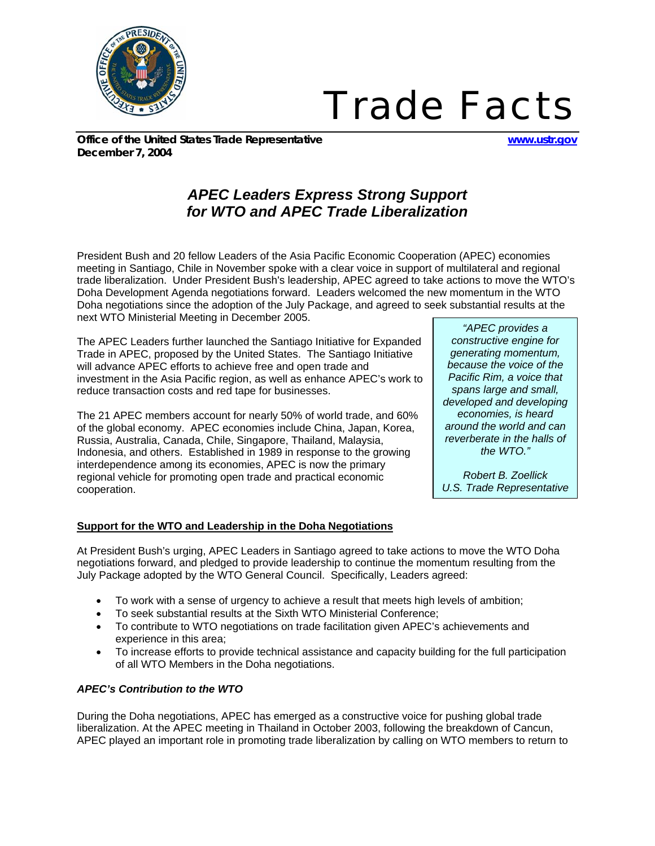

# *Trade Facts*

*Office of the United States Trade Representative www.ustr.gov December 7, 2004*

# *APEC Leaders Express Strong Support for WTO and APEC Trade Liberalization*

President Bush and 20 fellow Leaders of the Asia Pacific Economic Cooperation (APEC) economies meeting in Santiago, Chile in November spoke with a clear voice in support of multilateral and regional trade liberalization. Under President Bush's leadership, APEC agreed to take actions to move the WTO's Doha Development Agenda negotiations forward. Leaders welcomed the new momentum in the WTO Doha negotiations since the adoption of the July Package, and agreed to seek substantial results at the next WTO Ministerial Meeting in December 2005.

The APEC Leaders further launched the Santiago Initiative for Expanded Trade in APEC, proposed by the United States. The Santiago Initiative will advance APEC efforts to achieve free and open trade and investment in the Asia Pacific region, as well as enhance APEC's work to reduce transaction costs and red tape for businesses.

The 21 APEC members account for nearly 50% of world trade, and 60% of the global economy. APEC economies include China, Japan, Korea, Russia, Australia, Canada, Chile, Singapore, Thailand, Malaysia, Indonesia, and others. Established in 1989 in response to the growing interdependence among its economies, APEC is now the primary regional vehicle for promoting open trade and practical economic cooperation.

*"APEC provides a constructive engine for generating momentum, because the voice of the Pacific Rim, a voice that spans large and small, developed and developing economies, is heard around the world and can reverberate in the halls of the WTO."* 

*Robert B. Zoellick U.S. Trade Representative*

# **Support for the WTO and Leadership in the Doha Negotiations**

At President Bush's urging, APEC Leaders in Santiago agreed to take actions to move the WTO Doha negotiations forward, and pledged to provide leadership to continue the momentum resulting from the July Package adopted by the WTO General Council. Specifically, Leaders agreed:

- To work with a sense of urgency to achieve a result that meets high levels of ambition;
- To seek substantial results at the Sixth WTO Ministerial Conference;
- To contribute to WTO negotiations on trade facilitation given APEC's achievements and experience in this area;
- To increase efforts to provide technical assistance and capacity building for the full participation of all WTO Members in the Doha negotiations.

## *APEC's Contribution to the WTO*

During the Doha negotiations, APEC has emerged as a constructive voice for pushing global trade liberalization. At the APEC meeting in Thailand in October 2003, following the breakdown of Cancun, APEC played an important role in promoting trade liberalization by calling on WTO members to return to